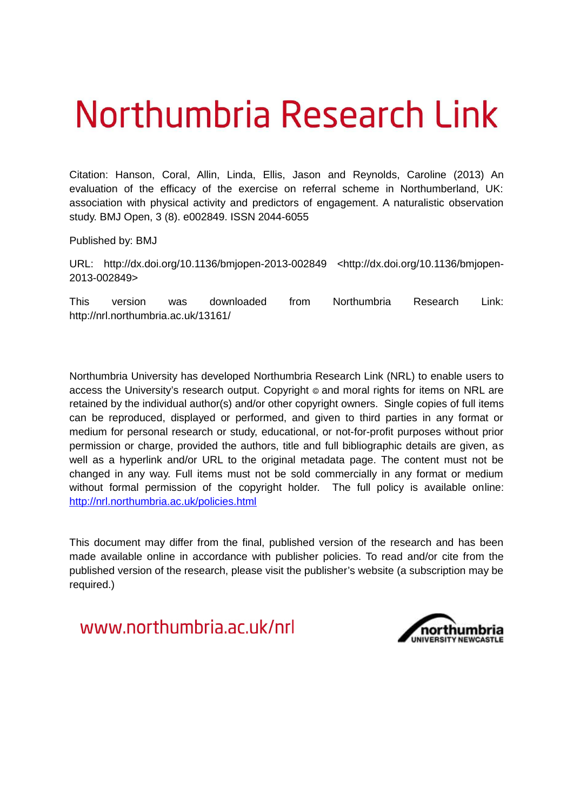# Northumbria Research Link

Citation: Hanson, Coral, Allin, Linda, Ellis, Jason and Reynolds, Caroline (2013) An evaluation of the efficacy of the exercise on referral scheme in Northumberland, UK: association with physical activity and predictors of engagement. A naturalistic observation study. BMJ Open, 3 (8). e002849. ISSN 2044-6055

Published by: BMJ

URL: http://dx.doi.org/10.1136/bmjopen-2013-002849 <http://dx.doi.org/10.1136/bmjopen-2013-002849>

This version was downloaded from Northumbria Research Link: http://nrl.northumbria.ac.uk/13161/

Northumbria University has developed Northumbria Research Link (NRL) to enable users to access the University's research output. Copyright  $\circ$  and moral rights for items on NRL are retained by the individual author(s) and/or other copyright owners. Single copies of full items can be reproduced, displayed or performed, and given to third parties in any format or medium for personal research or study, educational, or not-for-profit purposes without prior permission or charge, provided the authors, title and full bibliographic details are given, as well as a hyperlink and/or URL to the original metadata page. The content must not be changed in any way. Full items must not be sold commercially in any format or medium without formal permission of the copyright holder. The full policy is available online: <http://nrl.northumbria.ac.uk/policies.html>

This document may differ from the final, published version of the research and has been made available online in accordance with publisher policies. To read and/or cite from the published version of the research, please visit the publisher's website (a subscription may be required.)

www.northumbria.ac.uk/nrl

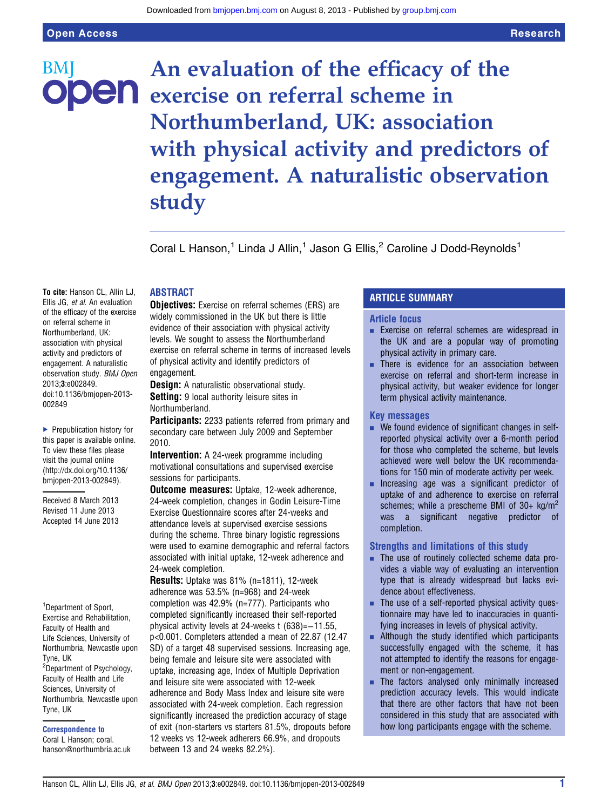## An evaluation of the efficacy of the BM.  $\sum_{n=1}^{\infty}$  exercise on referral scheme in Northumberland, UK: association with physical activity and predictors of engagement. A naturalistic observation study

Coral L Hanson,<sup>1</sup> Linda J Allin,<sup>1</sup> Jason G Ellis,<sup>2</sup> Caroline J Dodd-Reynolds<sup>1</sup>

#### ABSTRACT

To cite: Hanson CL, Allin LJ, Ellis JG, et al. An evaluation of the efficacy of the exercise on referral scheme in Northumberland, UK: association with physical activity and predictors of engagement. A naturalistic observation study. BMJ Open 2013;3:e002849. doi:10.1136/bmjopen-2013- 002849

▶ Prepublication history for this paper is available online. To view these files please visit the journal online [\(http://dx.doi.org/10.1136/](http://dx.doi.org/10.1136/bmjopen-2013-002849) [bmjopen-2013-002849](http://dx.doi.org/10.1136/bmjopen-2013-002849)).

Received 8 March 2013 Revised 11 June 2013 Accepted 14 June 2013

1 Department of Sport, Exercise and Rehabilitation, Faculty of Health and Life Sciences, University of Northumbria, Newcastle upon Tyne, UK <sup>2</sup>Department of Psychology, Faculty of Health and Life Sciences, University of Northumbria, Newcastle upon Tyne, UK

#### Correspondence to

Coral L Hanson; coral. hanson@northumbria.ac.uk

**Objectives:** Exercise on referral schemes (ERS) are widely commissioned in the UK but there is little evidence of their association with physical activity levels. We sought to assess the Northumberland exercise on referral scheme in terms of increased levels of physical activity and identify predictors of engagement.

**Design:** A naturalistic observational study. **Setting:** 9 local authority leisure sites in Northumberland.

**Participants:** 2233 patients referred from primary and secondary care between July 2009 and September 2010.

Intervention: A 24-week programme including motivational consultations and supervised exercise sessions for participants.

Outcome measures: Uptake, 12-week adherence, 24-week completion, changes in Godin Leisure-Time Exercise Questionnaire scores after 24-weeks and attendance levels at supervised exercise sessions during the scheme. Three binary logistic regressions were used to examine demographic and referral factors associated with initial uptake, 12-week adherence and 24-week completion.

Results: Uptake was 81% (n=1811), 12-week adherence was 53.5% (n=968) and 24-week completion was 42.9% (n=777). Participants who completed significantly increased their self-reported physical activity levels at 24-weeks t (638)=−11.55, p<0.001. Completers attended a mean of 22.87 (12.47 SD) of a target 48 supervised sessions. Increasing age, being female and leisure site were associated with uptake, increasing age, Index of Multiple Deprivation and leisure site were associated with 12-week adherence and Body Mass Index and leisure site were associated with 24-week completion. Each regression significantly increased the prediction accuracy of stage of exit (non-starters vs starters 81.5%, dropouts before 12 weeks vs 12-week adherers 66.9%, and dropouts between 13 and 24 weeks 82.2%).

#### ARTICLE SUMMARY

#### Article focus

- $\blacksquare$  Exercise on referral schemes are widespread in the UK and are a popular way of promoting physical activity in primary care.
- $\blacksquare$  There is evidence for an association between exercise on referral and short-term increase in physical activity, but weaker evidence for longer term physical activity maintenance.

#### Key messages

- We found evidence of significant changes in selfreported physical activity over a 6-month period for those who completed the scheme, but levels achieved were well below the UK recommendations for 150 min of moderate activity per week.
- Increasing age was a significant predictor of uptake of and adherence to exercise on referral schemes; while a prescheme BMI of  $30+ kg/m^2$ was a significant negative predictor of completion.

#### Strengths and limitations of this study

- The use of routinely collected scheme data provides a viable way of evaluating an intervention type that is already widespread but lacks evidence about effectiveness.
- The use of a self-reported physical activity questionnaire may have led to inaccuracies in quantifying increases in levels of physical activity.
- $\blacksquare$  Although the study identified which participants successfully engaged with the scheme, it has not attempted to identify the reasons for engagement or non-engagement.
- $\blacksquare$  The factors analysed only minimally increased prediction accuracy levels. This would indicate that there are other factors that have not been considered in this study that are associated with how long participants engage with the scheme.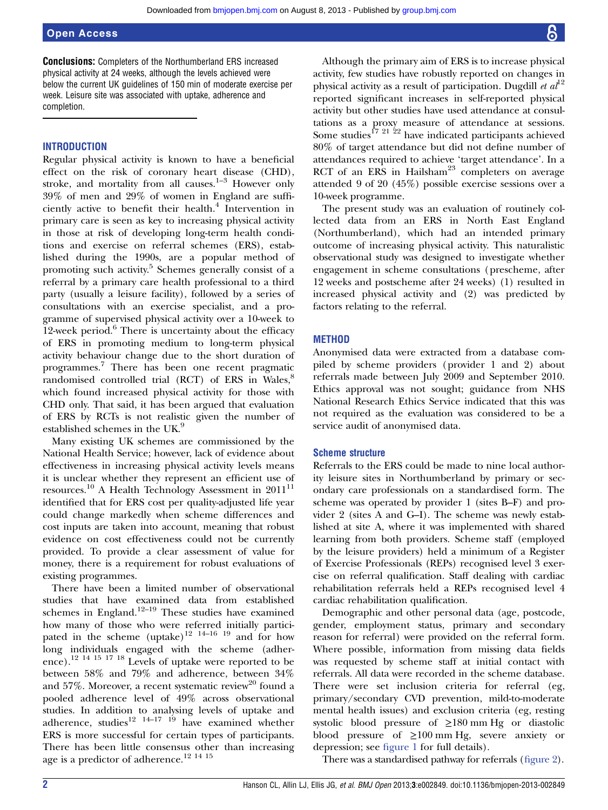#### **INTRODUCTION**

Regular physical activity is known to have a beneficial effect on the risk of coronary heart disease (CHD), stroke, and mortality from all causes.<sup>1-3</sup> However only 39% of men and 29% of women in England are sufficiently active to benefit their health.<sup>4</sup> Intervention in primary care is seen as key to increasing physical activity in those at risk of developing long-term health conditions and exercise on referral schemes (ERS), established during the 1990s, are a popular method of promoting such activity.<sup>5</sup> Schemes generally consist of a referral by a primary care health professional to a third party (usually a leisure facility), followed by a series of consultations with an exercise specialist, and a programme of supervised physical activity over a 10-week to 12-week period. $6$  There is uncertainty about the efficacy of ERS in promoting medium to long-term physical activity behaviour change due to the short duration of programmes. <sup>7</sup> There has been one recent pragmatic randomised controlled trial (RCT) of ERS in Wales,<sup>8</sup> which found increased physical activity for those with CHD only. That said, it has been argued that evaluation of ERS by RCTs is not realistic given the number of established schemes in the UK.<sup>9</sup>

Many existing UK schemes are commissioned by the National Health Service; however, lack of evidence about effectiveness in increasing physical activity levels means it is unclear whether they represent an efficient use of resources.<sup>10</sup> A Health Technology Assessment in 2011<sup>11</sup> identified that for ERS cost per quality-adjusted life year could change markedly when scheme differences and cost inputs are taken into account, meaning that robust evidence on cost effectiveness could not be currently provided. To provide a clear assessment of value for money, there is a requirement for robust evaluations of existing programmes.

There have been a limited number of observational studies that have examined data from established schemes in England.<sup>12–19</sup> These studies have examined how many of those who were referred initially participated in the scheme (uptake)<sup>12 14–16</sup> <sup>19</sup> and for how long individuals engaged with the scheme (adherence).<sup>12 14 15 17 18</sup> Levels of uptake were reported to be between 58% and 79% and adherence, between 34% and  $57\%$ . Moreover, a recent systematic review<sup>20</sup> found a pooled adherence level of 49% across observational studies. In addition to analysing levels of uptake and adherence, studies<sup>12</sup> <sup>14–17</sup> <sup>19</sup> have examined whether ERS is more successful for certain types of participants. There has been little consensus other than increasing age is a predictor of adherence.12 14 15

Although the primary aim of ERS is to increase physical activity, few studies have robustly reported on changes in physical activity as a result of participation. Dugdill et  $al<sup>12</sup>$ reported significant increases in self-reported physical activity but other studies have used attendance at consultations as a proxy measure of attendance at sessions. Some studies<sup>17 21 22</sup> have indicated participants achieved 80% of target attendance but did not define number of attendances required to achieve 'target attendance'. In a RCT of an ERS in Hailsham<sup>23</sup> completers on average attended 9 of 20 (45%) possible exercise sessions over a 10-week programme.

The present study was an evaluation of routinely collected data from an ERS in North East England (Northumberland), which had an intended primary outcome of increasing physical activity. This naturalistic observational study was designed to investigate whether engagement in scheme consultations (prescheme, after 12 weeks and postscheme after 24 weeks) (1) resulted in increased physical activity and (2) was predicted by factors relating to the referral.

#### **METHOD**

Anonymised data were extracted from a database compiled by scheme providers (provider 1 and 2) about referrals made between July 2009 and September 2010. Ethics approval was not sought; guidance from NHS National Research Ethics Service indicated that this was not required as the evaluation was considered to be a service audit of anonymised data.

#### Scheme structure

Referrals to the ERS could be made to nine local authority leisure sites in Northumberland by primary or secondary care professionals on a standardised form. The scheme was operated by provider 1 (sites B–F) and provider 2 (sites A and G–I). The scheme was newly established at site A, where it was implemented with shared learning from both providers. Scheme staff (employed by the leisure providers) held a minimum of a Register of Exercise Professionals (REPs) recognised level 3 exercise on referral qualification. Staff dealing with cardiac rehabilitation referrals held a REPs recognised level 4 cardiac rehabilitation qualification.

Demographic and other personal data (age, postcode, gender, employment status, primary and secondary reason for referral) were provided on the referral form. Where possible, information from missing data fields was requested by scheme staff at initial contact with referrals. All data were recorded in the scheme database. There were set inclusion criteria for referral (eg, primary/secondary CVD prevention, mild-to-moderate mental health issues) and exclusion criteria (eg, resting systolic blood pressure of  $\geq$ 180 mm Hg or diastolic blood pressure of  $\geq 100$  mm Hg, severe anxiety or depression; see figure 1 for full details).

There was a standardised pathway for referrals (figure 2).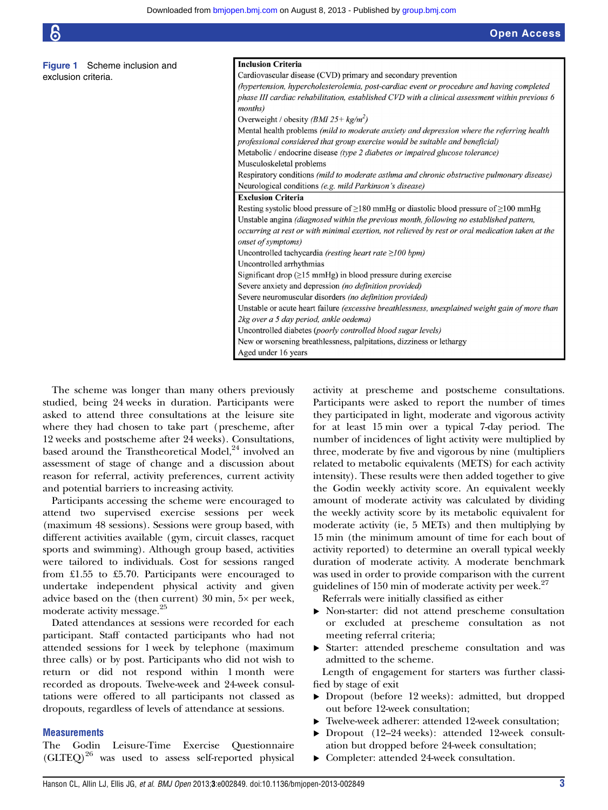|                     | Figure 1 Scheme inclusion and |
|---------------------|-------------------------------|
| exclusion criteria. |                               |

| <b>Inclusion Criteria</b>                                                                         |
|---------------------------------------------------------------------------------------------------|
| Cardiovascular disease (CVD) primary and secondary prevention                                     |
| (hypertension, hypercholesterolemia, post-cardiac event or procedure and having completed         |
| phase III cardiac rehabilitation, established CVD with a clinical assessment within previous 6    |
| <i>months</i> )                                                                                   |
| Overweight / obesity (BMI 25+ $kg/m^2$ )                                                          |
| Mental health problems (mild to moderate anxiety and depression where the referring health        |
| professional considered that group exercise would be suitable and beneficial)                     |
| Metabolic / endocrine disease (type 2 diabetes or impaired glucose tolerance)                     |
| Musculoskeletal problems                                                                          |
| Respiratory conditions (mild to moderate asthma and chronic obstructive pulmonary disease)        |
| Neurological conditions (e.g. mild Parkinson's disease)                                           |
| <b>Exclusion Criteria</b>                                                                         |
| Resting systolic blood pressure of $\geq$ 180 mmHg or diastolic blood pressure of $\geq$ 100 mmHg |
| Unstable angina <i>(diagnosed within the previous month, following no established pattern,</i>    |
| occurring at rest or with minimal exertion, not relieved by rest or oral medication taken at the  |
| onset of symptoms)                                                                                |
| Uncontrolled tachycardia (resting heart rate $\geq 100$ bpm)                                      |
| Uncontrolled arrhythmias                                                                          |
| Significant drop $(\geq 15 \text{ mmHg})$ in blood pressure during exercise                       |
| Severe anxiety and depression (no definition provided)                                            |
| Severe neuromuscular disorders (no definition provided)                                           |
| Unstable or acute heart failure (excessive breathlessness, unexplained weight gain of more than   |
| 2kg over a 5 day period, ankle oedema)                                                            |
| Uncontrolled diabetes (poorly controlled blood sugar levels)                                      |
| New or worsening breathlessness, palpitations, dizziness or lethargy                              |
| Aged under 16 years                                                                               |

The scheme was longer than many others previously studied, being 24 weeks in duration. Participants were asked to attend three consultations at the leisure site where they had chosen to take part (prescheme, after 12 weeks and postscheme after 24 weeks). Consultations, based around the Transtheoretical Model, $^{24}$  involved an assessment of stage of change and a discussion about reason for referral, activity preferences, current activity and potential barriers to increasing activity.

Participants accessing the scheme were encouraged to attend two supervised exercise sessions per week (maximum 48 sessions). Sessions were group based, with different activities available (gym, circuit classes, racquet sports and swimming). Although group based, activities were tailored to individuals. Cost for sessions ranged from £1.55 to £5.70. Participants were encouraged to undertake independent physical activity and given advice based on the (then current) 30 min, 5× per week, moderate activity message.<sup>25</sup>

Dated attendances at sessions were recorded for each participant. Staff contacted participants who had not attended sessions for 1 week by telephone (maximum three calls) or by post. Participants who did not wish to return or did not respond within 1 month were recorded as dropouts. Twelve-week and 24-week consultations were offered to all participants not classed as dropouts, regardless of levels of attendance at sessions.

#### **Measurements**

The Godin Leisure-Time Exercise Questionnaire  $(GLTEQ)^{26}$  was used to assess self-reported physical activity at prescheme and postscheme consultations. Participants were asked to report the number of times they participated in light, moderate and vigorous activity for at least 15 min over a typical 7-day period. The number of incidences of light activity were multiplied by three, moderate by five and vigorous by nine (multipliers related to metabolic equivalents (METS) for each activity intensity). These results were then added together to give the Godin weekly activity score. An equivalent weekly amount of moderate activity was calculated by dividing the weekly activity score by its metabolic equivalent for moderate activity (ie, 5 METs) and then multiplying by 15 min (the minimum amount of time for each bout of activity reported) to determine an overall typical weekly duration of moderate activity. A moderate benchmark was used in order to provide comparison with the current guidelines of 150 min of moderate activity per week.<sup>27</sup>

Referrals were initially classified as either

- ▸ Non-starter: did not attend prescheme consultation or excluded at prescheme consultation as not meeting referral criteria;
- ▸ Starter: attended prescheme consultation and was admitted to the scheme.

Length of engagement for starters was further classified by stage of exit

- ▸ Dropout (before 12 weeks): admitted, but dropped out before 12-week consultation;
- Twelve-week adherer: attended 12-week consultation;
- ▸ Dropout (12–24 weeks): attended 12-week consultation but dropped before 24-week consultation;
- Completer: attended 24-week consultation.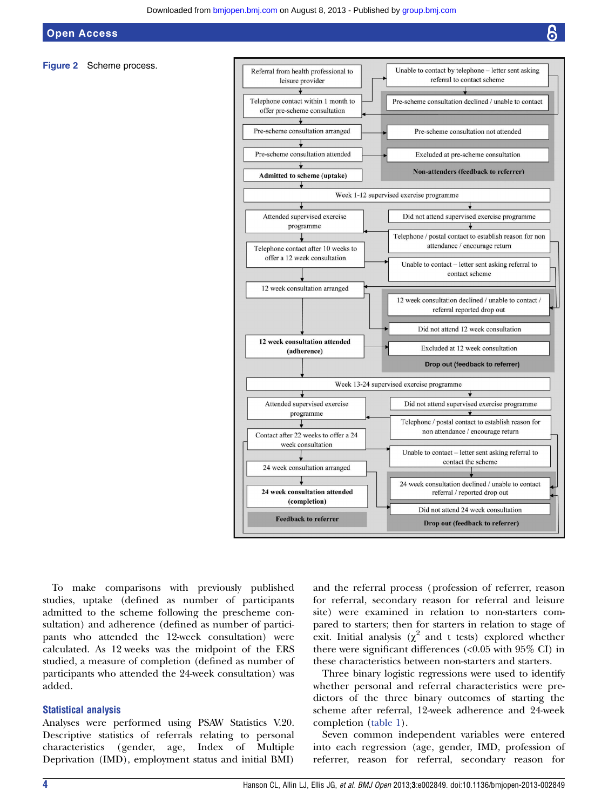Figure 2 Scheme process.



To make comparisons with previously published studies, uptake (defined as number of participants admitted to the scheme following the prescheme consultation) and adherence (defined as number of participants who attended the 12-week consultation) were calculated. As 12 weeks was the midpoint of the ERS studied, a measure of completion (defined as number of participants who attended the 24-week consultation) was added.

#### Statistical analysis

Analyses were performed using PSAW Statistics V.20. Descriptive statistics of referrals relating to personal characteristics (gender, age, Index of Multiple Deprivation (IMD), employment status and initial BMI)

and the referral process (profession of referrer, reason for referral, secondary reason for referral and leisure site) were examined in relation to non-starters compared to starters; then for starters in relation to stage of exit. Initial analysis  $(\chi^2$  and t tests) explored whether there were significant differences (<0.05 with 95% CI) in these characteristics between non-starters and starters.

Three binary logistic regressions were used to identify whether personal and referral characteristics were predictors of the three binary outcomes of starting the scheme after referral, 12-week adherence and 24-week completion (table 1).

Seven common independent variables were entered into each regression (age, gender, IMD, profession of referrer, reason for referral, secondary reason for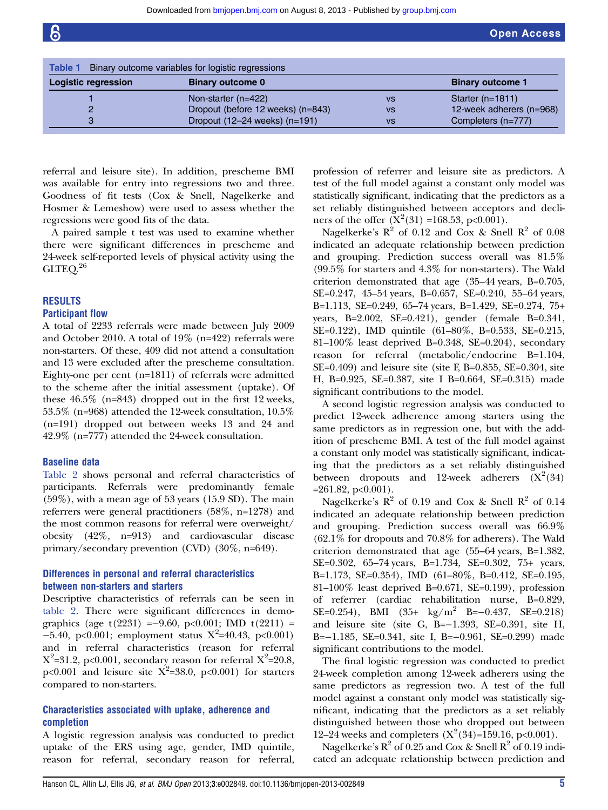| ۰ |
|---|
|   |
|   |

| <b>Open Access</b> |  |
|--------------------|--|
|--------------------|--|

| Binary outcome variables for logistic regressions<br>Table 1 |                                   |           |                          |  |  |
|--------------------------------------------------------------|-----------------------------------|-----------|--------------------------|--|--|
| Logistic regression                                          | <b>Binary outcome 0</b>           |           | <b>Binary outcome 1</b>  |  |  |
|                                                              | Non-starter $(n=422)$             | VS        | Starter $(n=1811)$       |  |  |
| 2                                                            | Dropout (before 12 weeks) (n=843) | <b>VS</b> | 12-week adherers (n=968) |  |  |
| 3                                                            | Dropout $(12-24$ weeks) $(n=191)$ | VS        | Completers (n=777)       |  |  |

referral and leisure site). In addition, prescheme BMI was available for entry into regressions two and three. Goodness of fit tests (Cox & Snell, Nagelkerke and Hosmer & Lemeshow) were used to assess whether the regressions were good fits of the data.

A paired sample t test was used to examine whether there were significant differences in prescheme and 24-week self-reported levels of physical activity using the GLTEO.<sup>26</sup>

#### RESULTS Participant flow

A total of 2233 referrals were made between July 2009 and October 2010. A total of 19% (n=422) referrals were non-starters. Of these, 409 did not attend a consultation and 13 were excluded after the prescheme consultation. Eighty-one per cent (n=1811) of referrals were admitted to the scheme after the initial assessment (uptake). Of these 46.5% (n=843) dropped out in the first 12 weeks, 53.5% (n=968) attended the 12-week consultation, 10.5% (n=191) dropped out between weeks 13 and 24 and 42.9% (n=777) attended the 24-week consultation.

#### Baseline data

Table 2 shows personal and referral characteristics of participants. Referrals were predominantly female (59%), with a mean age of 53 years (15.9 SD). The main referrers were general practitioners (58%, n=1278) and the most common reasons for referral were overweight/ obesity (42%, n=913) and cardiovascular disease primary/secondary prevention (CVD) (30%, n=649).

#### Differences in personal and referral characteristics between non-starters and starters

Descriptive characteristics of referrals can be seen in table 2. There were significant differences in demographics (age t(2231) = -9.60, p<0.001; IMD t(2211) =  $-5.40$ , p<0.001; employment status X<sup>2</sup>=40.43, p<0.001) and in referral characteristics (reason for referral  $X^2$ =31.2, p<0.001, secondary reason for referral  $X^2$ =20.8, p<0.001 and leisure site  $X^2=38.0$ , p<0.001) for starters compared to non-starters.

#### Characteristics associated with uptake, adherence and completion

A logistic regression analysis was conducted to predict uptake of the ERS using age, gender, IMD quintile, reason for referral, secondary reason for referral,

profession of referrer and leisure site as predictors. A test of the full model against a constant only model was statistically significant, indicating that the predictors as a set reliably distinguished between acceptors and decliners of the offer  $(X^2(31) = 168.53, p < 0.001)$ .

Nagelkerke's  $R^2$  of 0.12 and Cox & Snell  $R^2$  of 0.08 indicated an adequate relationship between prediction and grouping. Prediction success overall was 81.5% (99.5% for starters and 4.3% for non-starters). The Wald criterion demonstrated that age (35–44 years, B=0.705, SE=0.247, 45–54 years, B=0.657, SE=0.240, 55–64 years, B=1.113, SE=0.249, 65–74 years, B=1.429, SE=0.274, 75+ years, B=2.002, SE=0.421), gender (female B=0.341, SE=0.122), IMD quintile (61–80%, B=0.533, SE=0.215, 81–100% least deprived B=0.348, SE=0.204), secondary reason for referral (metabolic/endocrine B=1.104, SE=0.409) and leisure site (site F, B=0.855, SE=0.304, site H, B=0.925, SE=0.387, site I B=0.664, SE=0.315) made significant contributions to the model.

A second logistic regression analysis was conducted to predict 12-week adherence among starters using the same predictors as in regression one, but with the addition of prescheme BMI. A test of the full model against a constant only model was statistically significant, indicating that the predictors as a set reliably distinguished between dropouts and 12-week adherers  $(X^2(34))$  $=261.82, p<0.001$ ).

Nagelkerke's  $R^2$  of 0.19 and Cox & Snell  $R^2$  of 0.14 indicated an adequate relationship between prediction and grouping. Prediction success overall was 66.9% (62.1% for dropouts and 70.8% for adherers). The Wald criterion demonstrated that age (55–64 years, B=1.382, SE=0.302, 65–74 years, B=1.734, SE=0.302, 75+ years, B=1.173, SE=0.354), IMD (61–80%, B=0.412, SE=0.195, 81–100% least deprived B=0.671, SE=0.199), profession of referrer (cardiac rehabilitation nurse, B=0.829, SE=0.254), BMI  $(35+ \text{kg/m}^2 \text{B}=-0.437, \text{SE}=0.218)$ and leisure site (site G, B=−1.393, SE=0.391, site H, B=−1.185, SE=0.341, site I, B=−0.961, SE=0.299) made significant contributions to the model.

The final logistic regression was conducted to predict 24-week completion among 12-week adherers using the same predictors as regression two. A test of the full model against a constant only model was statistically significant, indicating that the predictors as a set reliably distinguished between those who dropped out between 12–24 weeks and completers  $(X^2(34)=159.16, p<0.001)$ .

Nagelkerke's  $R^2$  of 0.25 and Cox & Snell  $R^2$  of 0.19 indicated an adequate relationship between prediction and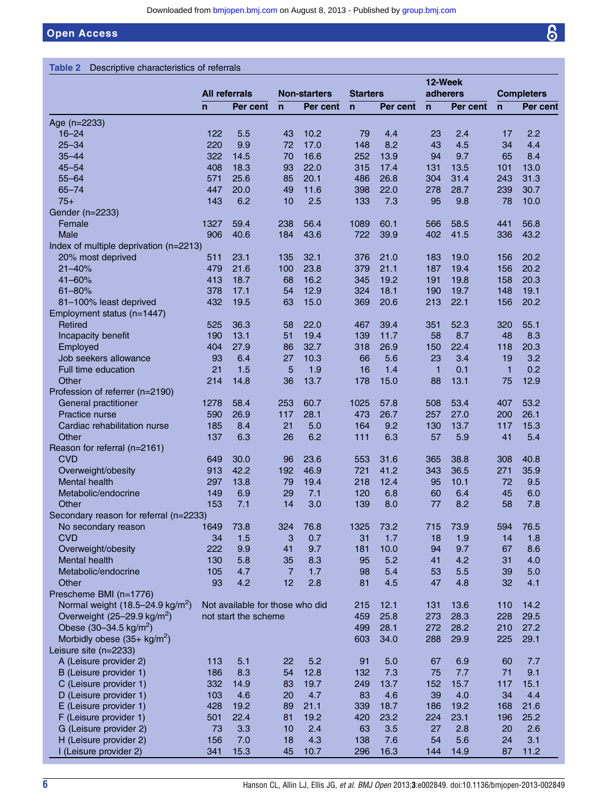#### Table 2 Descriptive characteristics of referrals

|                                              | <b>All referrals</b> |                                 | <b>Non-starters</b> |          | <b>Starters</b> |          | 12-Week<br>adherers |          | <b>Completers</b> |          |
|----------------------------------------------|----------------------|---------------------------------|---------------------|----------|-----------------|----------|---------------------|----------|-------------------|----------|
|                                              | $\mathsf{n}$         | Per cent                        | $\mathsf{n}$        | Per cent | $\mathsf{n}$    | Per cent | $\mathsf{n}$        | Per cent | $\overline{ }$    | Per cent |
| Age (n=2233)                                 |                      |                                 |                     |          |                 |          |                     |          |                   |          |
| $16 - 24$                                    | 122                  | 5.5                             | 43                  | 10.2     | 79              | 4.4      | 23                  | 2.4      | 17                | 2.2      |
| $25 - 34$                                    | 220                  | 9.9                             | 72                  | 17.0     | 148             | 8.2      | 43                  | 4.5      | 34                | 4.4      |
| $35 - 44$                                    | 322                  | 14.5                            | 70                  | 16.6     | 252             | 13.9     | 94                  | 9.7      | 65                | 8.4      |
| $45 - 54$                                    | 408                  | 18.3                            | 93                  | 22.0     | 315             | 17.4     | 131                 | 13.5     | 101               | 13.0     |
| $55 - 64$                                    | 571                  | 25.6                            | 85                  | 20.1     | 486             | 26.8     | 304                 | 31.4     | 243               | 31.3     |
| $65 - 74$                                    | 447                  | 20.0                            | 49                  | 11.6     | 398             | 22.0     | 278                 | 28.7     | 239               | 30.7     |
| $75+$                                        | 143                  | 6.2                             | 10                  | 2.5      | 133             | 7.3      | 95                  | 9.8      | 78                | 10.0     |
| Gender (n=2233)                              |                      |                                 |                     |          |                 |          |                     |          |                   |          |
| Female                                       | 1327                 | 59.4                            | 238                 | 56.4     | 1089            | 60.1     | 566                 | 58.5     | 441               | 56.8     |
| Male                                         | 906                  | 40.6                            | 184                 | 43.6     | 722             | 39.9     | 402                 | 41.5     | 336               | 43.2     |
| Index of multiple deprivation (n=2213)       |                      |                                 |                     |          |                 |          |                     |          |                   |          |
| 20% most deprived                            | 511                  | 23.1                            | 135                 | 32.1     | 376             | 21.0     | 183                 | 19.0     | 156               | 20.2     |
| $21 - 40%$                                   | 479                  | 21.6                            | 100                 | 23.8     | 379             | 21.1     | 187                 | 19.4     | 156               | 20.2     |
| 41-60%                                       | 413                  | 18.7                            | 68                  | 16.2     | 345             | 19.2     | 191                 | 19.8     | 158               | 20.3     |
|                                              | 378                  | 17.1                            | 54                  | 12.9     | 324             | 18.1     | 190                 | 19.7     | 148               | 19.1     |
| 61-80%                                       | 432                  | 19.5                            | 63                  | 15.0     | 369             | 20.6     | 213                 | 22.1     | 156               | 20.2     |
| 81-100% least deprived                       |                      |                                 |                     |          |                 |          |                     |          |                   |          |
| Employment status (n=1447)<br><b>Retired</b> |                      |                                 |                     |          |                 |          |                     |          |                   |          |
|                                              | 525                  | 36.3                            | 58                  | 22.0     | 467             | 39.4     | 351                 | 52.3     | 320               | 55.1     |
| Incapacity benefit                           | 190                  | 13.1                            | 51                  | 19.4     | 139             | 11.7     | 58                  | 8.7      | 48                | 8.3      |
| Employed                                     | 404                  | 27.9                            | 86                  | 32.7     | 318             | 26.9     | 150                 | 22.4     | 118               | 20.3     |
| Job seekers allowance                        | 93                   | 6.4                             | 27                  | 10.3     | 66              | 5.6      | 23                  | 3.4      | 19                | 3.2      |
| Full time education                          | 21                   | 1.5                             | 5                   | 1.9      | 16              | 1.4      | 1                   | 0.1      | $\mathbf{1}$      | 0.2      |
| Other                                        | 214                  | 14.8                            | 36                  | 13.7     | 178             | 15.0     | 88                  | 13.1     | 75                | 12.9     |
| Profession of referrer (n=2190)              |                      |                                 |                     |          |                 |          |                     |          |                   |          |
| General practitioner                         | 1278                 | 58.4                            | 253                 | 60.7     | 1025            | 57.8     | 508                 | 53.4     | 407               | 53.2     |
| Practice nurse                               | 590                  | 26.9                            | 117                 | 28.1     | 473             | 26.7     | 257                 | 27.0     | 200               | 26.1     |
| Cardiac rehabilitation nurse                 | 185                  | 8.4                             | 21                  | 5.0      | 164             | 9.2      | 130                 | 13.7     | 117               | 15.3     |
| Other                                        | 137                  | 6.3                             | 26                  | 6.2      | 111             | 6.3      | 57                  | 5.9      | 41                | 5.4      |
| Reason for referral (n=2161)                 |                      |                                 |                     |          |                 |          |                     |          |                   |          |
| <b>CVD</b>                                   | 649                  | 30.0                            | 96                  | 23.6     | 553             | 31.6     | 365                 | 38.8     | 308               | 40.8     |
| Overweight/obesity                           | 913                  | 42.2                            | 192                 | 46.9     | 721             | 41.2     | 343                 | 36.5     | 271               | 35.9     |
| <b>Mental health</b>                         | 297                  | 13.8                            | 79                  | 19.4     | 218             | 12.4     | 95                  | 10.1     | 72                | 9.5      |
| Metabolic/endocrine                          | 149                  | 6.9                             | 29                  | 7.1      | 120             | 6.8      | 60                  | 6.4      | 45                | 6.0      |
| Other                                        | 153                  | 7.1                             | 14                  | 3.0      | 139             | 8.0      | 77                  | 8.2      | 58                | 7.8      |
| Secondary reason for referral (n=2233)       |                      |                                 |                     |          |                 |          |                     |          |                   |          |
| No secondary reason                          | 1649                 | 73.8                            | 324                 | 76.8     | 1325            | 73.2     | 715                 | 73.9     | 594               | 76.5     |
| <b>CVD</b>                                   | 34                   | 1.5                             | 3                   | 0.7      | 31              | 1.7      | 18                  | 1.9      | 14                | 1.8      |
| Overweight/obesity                           | 222                  | 9.9                             | 41                  | 9.7      | 181             | 10.0     | 94                  | 9.7      | 67                | 8.6      |
| Mental health                                | 130                  | 5.8                             | 35                  | 8.3      | 95              | 5.2      | 41                  | 4.2      | 31                | 4.0      |
| Metabolic/endocrine                          | 105                  | 4.7                             | $\overline{7}$      | 1.7      | 98              | 5.4      | 53                  | 5.5      | 39                | 5.0      |
| Other                                        | 93                   | 4.2                             | 12                  | 2.8      | 81              | 4.5      | 47                  | 4.8      | 32                | 4.1      |
| Prescheme BMI (n=1776)                       |                      |                                 |                     |          |                 |          |                     |          |                   |          |
| Normal weight $(18.5-24.9 \text{ kg/m}^2)$   |                      | Not available for those who did |                     |          | 215             | 12.1     | 131                 | 13.6     | 110               | 14.2     |
| Overweight $(25-29.9 \text{ kg/m}^2)$        |                      | not start the scheme            |                     |          | 459             | 25.8     | 273                 | 28.3     | 228               | 29.5     |
| Obese (30-34.5 kg/m <sup>2</sup> )           |                      |                                 |                     |          | 499             | 28.1     | 272                 | 28.2     | 210               | 27.2     |
| Morbidly obese $(35+kg/m^2)$                 |                      |                                 |                     |          | 603             | 34.0     | 288                 | 29.9     | 225               | 29.1     |
| Leisure site (n=2233)                        |                      |                                 |                     |          |                 |          |                     |          |                   |          |
| A (Leisure provider 2)                       | 113                  | 5.1                             | 22                  | 5.2      | 91              | 5.0      | 67                  | 6.9      | 60                | 7.7      |
| B (Leisure provider 1)                       | 186                  | 8.3                             | 54                  | 12.8     | 132             | 7.3      | 75                  | 7.7      | 71                | 9.1      |
| C (Leisure provider 1)                       | 332                  | 14.9                            | 83                  | 19.7     | 249             | 13.7     | 152                 | 15.7     | 117               | 15.1     |
| D (Leisure provider 1)                       | 103                  | 4.6                             | 20                  | 4.7      | 83              | 4.6      | 39                  | 4.0      | 34                | 4.4      |
| E (Leisure provider 1)                       | 428                  | 19.2                            | 89                  | 21.1     | 339             | 18.7     | 186                 | 19.2     | 168               | 21.6     |
| F (Leisure provider 1)                       | 501                  | 22.4                            | 81                  | 19.2     | 420             | 23.2     | 224                 | 23.1     | 196               | 25.2     |
| G (Leisure provider 2)                       | 73                   | 3.3                             | 10                  | 2.4      | 63              | 3.5      | 27                  | 2.8      | 20                | 2.6      |
| H (Leisure provider 2)                       | 156                  | 7.0                             | 18                  | 4.3      | 138             | 7.6      | 54                  | 5.6      | 24                | 3.1      |
| I (Leisure provider 2)                       | 341                  | 15.3                            | 45                  | 10.7     | 296             | 16.3     | 144                 | 14.9     | 87                | 11.2     |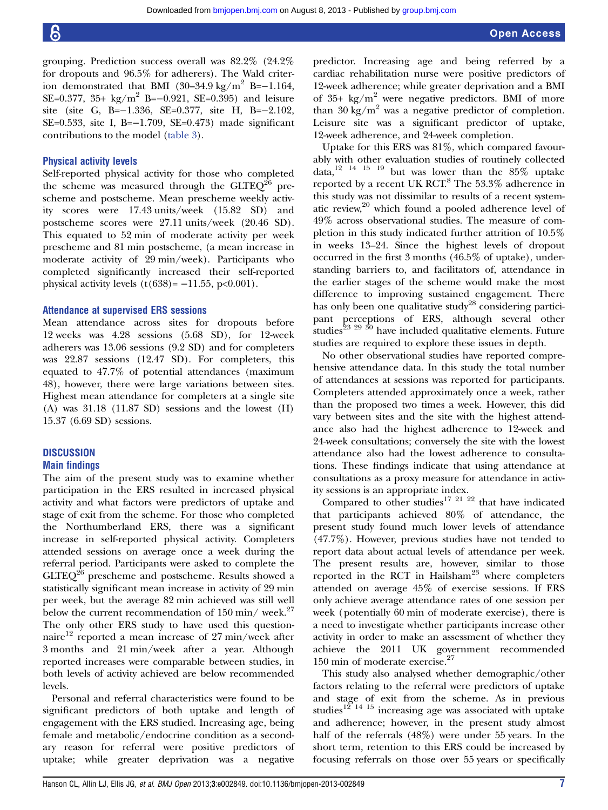grouping. Prediction success overall was 82.2% (24.2% for dropouts and 96.5% for adherers). The Wald criterion demonstrated that BMI (30–34.9 kg/m<sup>2</sup> B=−1.164, SE=0.377, 35+ kg/m<sup>2</sup> B=−0.921, SE=0.395) and leisure site (site G, B=−1.336, SE=0.377, site H, B=−2.102, SE=0.533, site I, B=−1.709, SE=0.473) made significant contributions to the model (table 3).

#### Physical activity levels

Self-reported physical activity for those who completed the scheme was measured through the  $GLTEQ^{26}$  prescheme and postscheme. Mean prescheme weekly activity scores were 17.43 units/week (15.82 SD) and postscheme scores were 27.11 units/week (20.46 SD). This equated to 52 min of moderate activity per week prescheme and 81 min postscheme, (a mean increase in moderate activity of 29 min/week). Participants who completed significantly increased their self-reported physical activity levels  $(t(638) = -11.55, p<0.001)$ .

#### Attendance at supervised ERS sessions

Mean attendance across sites for dropouts before 12 weeks was 4.28 sessions (5.68 SD), for 12-week adherers was 13.06 sessions (9.2 SD) and for completers was 22.87 sessions (12.47 SD). For completers, this equated to 47.7% of potential attendances (maximum 48), however, there were large variations between sites. Highest mean attendance for completers at a single site (A) was 31.18 (11.87 SD) sessions and the lowest (H) 15.37 (6.69 SD) sessions.

#### **DISCUSSION** Main findings

The aim of the present study was to examine whether participation in the ERS resulted in increased physical activity and what factors were predictors of uptake and stage of exit from the scheme. For those who completed the Northumberland ERS, there was a significant increase in self-reported physical activity. Completers attended sessions on average once a week during the referral period. Participants were asked to complete the  $GLTEQ<sup>26</sup>$  prescheme and postscheme. Results showed a statistically significant mean increase in activity of 29 min per week, but the average 82 min achieved was still well below the current recommendation of  $150 \text{ min}$ / week.<sup>27</sup> The only other ERS study to have used this questionnaire<sup>12</sup> reported a mean increase of  $27 \text{ min/week after}$ 3 months and 21 min/week after a year. Although reported increases were comparable between studies, in both levels of activity achieved are below recommended levels.

Personal and referral characteristics were found to be significant predictors of both uptake and length of engagement with the ERS studied. Increasing age, being female and metabolic/endocrine condition as a secondary reason for referral were positive predictors of uptake; while greater deprivation was a negative

predictor. Increasing age and being referred by a cardiac rehabilitation nurse were positive predictors of 12-week adherence; while greater deprivation and a BMI of 35+ kg/m<sup>2</sup> were negative predictors. BMI of more than 30 kg/m<sup>2</sup> was a negative predictor of completion. Leisure site was a significant predictor of uptake, 12-week adherence, and 24-week completion.

Uptake for this ERS was 81%, which compared favourably with other evaluation studies of routinely collected data,12 14 15 19 but was lower than the 85% uptake reported by a recent UK RCT.<sup>8</sup> The 53.3% adherence in this study was not dissimilar to results of a recent systematic review,<sup>20</sup> which found a pooled adherence level of 49% across observational studies. The measure of completion in this study indicated further attrition of 10.5% in weeks 13–24. Since the highest levels of dropout occurred in the first 3 months (46.5% of uptake), understanding barriers to, and facilitators of, attendance in the earlier stages of the scheme would make the most difference to improving sustained engagement. There has only been one qualitative study<sup>28</sup> considering participant perceptions of ERS, although several other studies<sup>23 29 30</sup> have included qualitative elements. Future studies are required to explore these issues in depth.

No other observational studies have reported comprehensive attendance data. In this study the total number of attendances at sessions was reported for participants. Completers attended approximately once a week, rather than the proposed two times a week. However, this did vary between sites and the site with the highest attendance also had the highest adherence to 12-week and 24-week consultations; conversely the site with the lowest attendance also had the lowest adherence to consultations. These findings indicate that using attendance at consultations as a proxy measure for attendance in activity sessions is an appropriate index.

Compared to other studies<sup>17 21 22</sup> that have indicated that participants achieved 80% of attendance, the present study found much lower levels of attendance (47.7%). However, previous studies have not tended to report data about actual levels of attendance per week. The present results are, however, similar to those reported in the RCT in Hailsham<sup>23</sup> where completers attended on average 45% of exercise sessions. If ERS only achieve average attendance rates of one session per week (potentially 60 min of moderate exercise), there is a need to investigate whether participants increase other activity in order to make an assessment of whether they achieve the 2011 UK government recommended 150 min of moderate exercise.<sup>27</sup>

This study also analysed whether demographic/other factors relating to the referral were predictors of uptake and stage of exit from the scheme. As in previous studies<sup>12 14 15</sup> increasing age was associated with uptake and adherence; however, in the present study almost half of the referrals (48%) were under 55 years. In the short term, retention to this ERS could be increased by focusing referrals on those over 55 years or specifically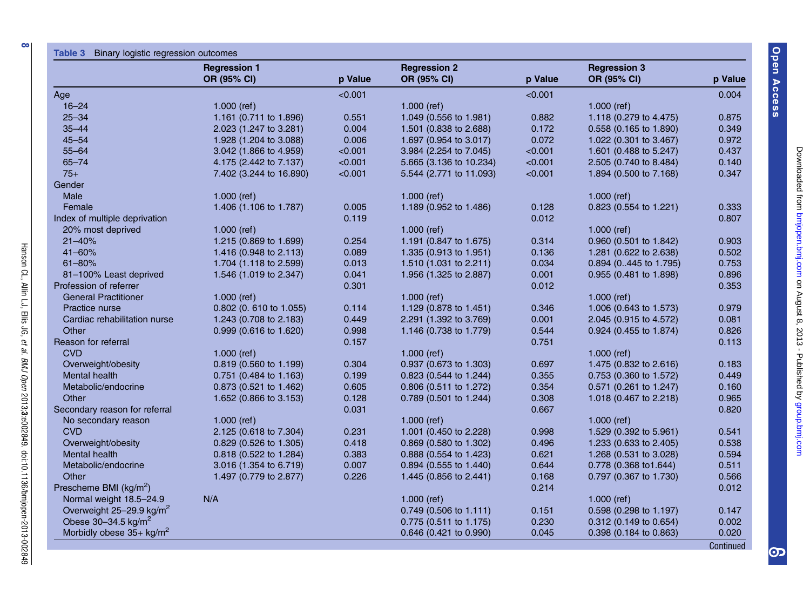Hanson CL, Allin LJ, Ellis JG,

et al.

BMJ Open

2013;3

:e002849. doi:10.1136/bmjopen-2013-002849

|                                      | <b>Regression 1</b>      |         | <b>Regression 2</b>     |         | <b>Regression 3</b>    |           |
|--------------------------------------|--------------------------|---------|-------------------------|---------|------------------------|-----------|
|                                      | OR (95% CI)              | p Value | OR (95% CI)             | p Value | OR (95% CI)            | p Value   |
| Age                                  |                          | < 0.001 |                         | < 0.001 |                        | 0.004     |
| $16 - 24$                            | 1.000 $(ref)$            |         | 1.000 $(ref)$           |         | 1.000 $(ref)$          |           |
| $25 - 34$                            | 1.161 (0.711 to 1.896)   | 0.551   | 1.049 (0.556 to 1.981)  | 0.882   | 1.118 (0.279 to 4.475) | 0.875     |
| $35 - 44$                            | 2.023 (1.247 to 3.281)   | 0.004   | 1.501 (0.838 to 2.688)  | 0.172   | 0.558 (0.165 to 1.890) | 0.349     |
| $45 - 54$                            | 1.928 (1.204 to 3.088)   | 0.006   | 1.697 (0.954 to 3.017)  | 0.072   | 1.022 (0.301 to 3.467) | 0.972     |
| $55 - 64$                            | 3.042 (1.866 to 4.959)   | < 0.001 | 3.984 (2.254 to 7.045)  | < 0.001 | 1.601 (0.488 to 5.247) | 0.437     |
| $65 - 74$                            | 4.175 (2.442 to 7.137)   | < 0.001 | 5.665 (3.136 to 10.234) | < 0.001 | 2.505 (0.740 to 8.484) | 0.140     |
| $75+$                                | 7.402 (3.244 to 16.890)  | < 0.001 | 5.544 (2.771 to 11.093) | < 0.001 | 1.894 (0.500 to 7.168) | 0.347     |
| Gender                               |                          |         |                         |         |                        |           |
| Male                                 | 1.000 $(ref)$            |         | 1.000 $(ref)$           |         | 1.000 $(ref)$          |           |
| Female                               | 1.406 (1.106 to 1.787)   | 0.005   | 1.189 (0.952 to 1.486)  | 0.128   | 0.823 (0.554 to 1.221) | 0.333     |
| Index of multiple deprivation        |                          | 0.119   |                         | 0.012   |                        | 0.807     |
| 20% most deprived                    | 1.000 $(ref)$            |         | $1.000$ (ref)           |         | $1.000$ (ref)          |           |
| $21 - 40%$                           | 1.215 (0.869 to 1.699)   | 0.254   | 1.191 (0.847 to 1.675)  | 0.314   | 0.960 (0.501 to 1.842) | 0.903     |
| $41 - 60%$                           | 1.416 (0.948 to 2.113)   | 0.089   | 1.335 (0.913 to 1.951)  | 0.136   | 1.281 (0.622 to 2.638) | 0.502     |
| $61 - 80%$                           | 1.704 (1.118 to 2.599)   | 0.013   | 1.510 (1.031 to 2.211)  | 0.034   | 0.894 (0445 to 1.795)  | 0.753     |
| 81-100% Least deprived               | 1.546 (1.019 to 2.347)   | 0.041   | 1.956 (1.325 to 2.887)  | 0.001   | 0.955 (0.481 to 1.898) | 0.896     |
| Profession of referrer               |                          | 0.301   |                         | 0.012   |                        | 0.353     |
| <b>General Practitioner</b>          | 1.000 $(ref)$            |         | 1.000 $(ref)$           |         | 1.000 $(ref)$          |           |
| Practice nurse                       | 0.802 (0. 610 to 1.055)  | 0.114   | 1.129 (0.878 to 1.451)  | 0.346   | 1.006 (0.643 to 1.573) | 0.979     |
| Cardiac rehabilitation nurse         | 1.243 (0.708 to 2.183)   | 0.449   | 2.291 (1.392 to 3.769)  | 0.001   | 2.045 (0.915 to 4.572) | 0.081     |
| Other                                | 0.999 (0.616 to 1.620)   | 0.998   | 1.146 (0.738 to 1.779)  | 0.544   | 0.924 (0.455 to 1.874) | 0.826     |
| Reason for referral                  |                          | 0.157   |                         | 0.751   |                        | 0.113     |
| <b>CVD</b>                           | 1.000 $(ref)$            |         | 1.000 $(ref)$           |         | 1.000 $(ref)$          |           |
| Overweight/obesity                   | 0.819 (0.560 to 1.199)   | 0.304   | 0.937 (0.673 to 1.303)  | 0.697   | 1.475 (0.832 to 2.616) | 0.183     |
| Mental health                        | $0.751$ (0.484 to 1.163) | 0.199   | 0.823 (0.544 to 1.244)  | 0.355   | 0.753 (0.360 to 1.572) | 0.449     |
| Metabolic/endocrine                  | 0.873 (0.521 to 1.462)   | 0.605   | 0.806 (0.511 to 1.272)  | 0.354   | 0.571 (0.261 to 1.247) | 0.160     |
| Other                                | 1.652 (0.866 to 3.153)   | 0.128   | 0.789 (0.501 to 1.244)  | 0.308   | 1.018 (0.467 to 2.218) | 0.965     |
| Secondary reason for referral        |                          | 0.031   |                         | 0.667   |                        | 0.820     |
| No secondary reason                  | 1.000 $(ref)$            |         | 1.000 $(ref)$           |         | 1.000 $(ref)$          |           |
| <b>CVD</b>                           | 2.125 (0.618 to 7.304)   | 0.231   | 1.001 (0.450 to 2.228)  | 0.998   | 1.529 (0.392 to 5.961) | 0.541     |
| Overweight/obesity                   | 0.829 (0.526 to 1.305)   | 0.418   | 0.869 (0.580 to 1.302)  | 0.496   | 1.233 (0.633 to 2.405) | 0.538     |
| Mental health                        | $0.818$ (0.522 to 1.284) | 0.383   | 0.888 (0.554 to 1.423)  | 0.621   | 1.268 (0.531 to 3.028) | 0.594     |
| Metabolic/endocrine                  | 3.016 (1.354 to 6.719)   | 0.007   | 0.894 (0.555 to 1.440)  | 0.644   | 0.778 (0.368 to 1.644) | 0.511     |
| Other                                | 1.497 (0.779 to 2.877)   | 0.226   | 1.445 (0.856 to 2.441)  | 0.168   | 0.797 (0.367 to 1.730) | 0.566     |
| Prescheme BMI (kg/m <sup>2</sup> )   |                          |         |                         | 0.214   |                        | 0.012     |
| Normal weight 18.5-24.9              | N/A                      |         | 1.000 $(ref)$           |         | 1.000 $(ref)$          |           |
| Overweight 25-29.9 kg/m <sup>2</sup> |                          |         | 0.749 (0.506 to 1.111)  | 0.151   | 0.598 (0.298 to 1.197) | 0.147     |
| Obese $30-34.5$ kg/m <sup>2</sup>    |                          |         | 0.775 (0.511 to 1.175)  | 0.230   | 0.312 (0.149 to 0.654) | 0.002     |
| Morbidly obese 35+ kg/m <sup>2</sup> |                          |         | 0.646 (0.421 to 0.990)  | 0.045   | 0.398 (0.184 to 0.863) | 0.020     |
|                                      |                          |         |                         |         |                        | Continued |

Open Access Open Access

စာ $\overline{\mathbf{C}}$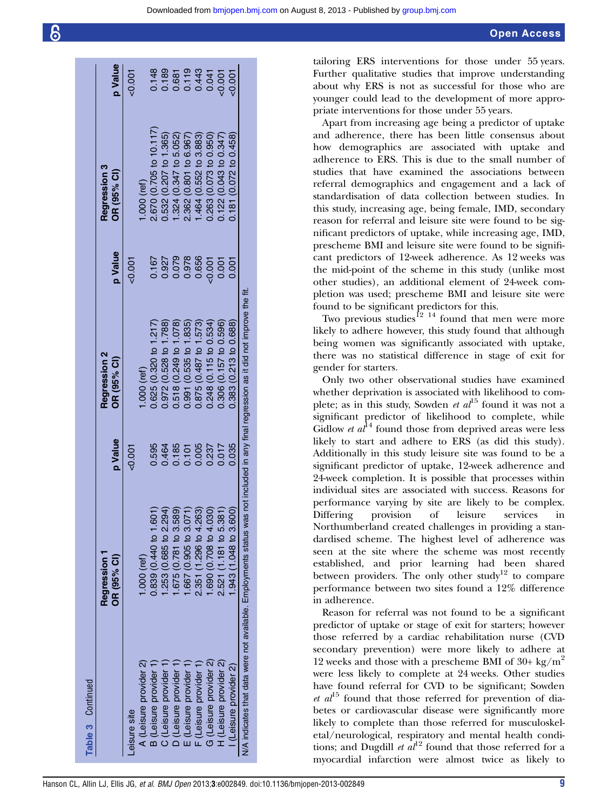| 1.253 (0.685 to 2.294)<br>0.839 (0.440 to 1.601<br>$1.000$ (ref)<br>A (Leisure provider 2)<br>C (Leisure provider 1<br><b>B</b> (Leisure provider<br>eisure site | $-0.001$ |                                                  | p Value  | Regression 3<br>OR (95% CI) | p Value  |
|------------------------------------------------------------------------------------------------------------------------------------------------------------------|----------|--------------------------------------------------|----------|-----------------------------|----------|
|                                                                                                                                                                  |          |                                                  | $-0.001$ |                             | $-0.001$ |
|                                                                                                                                                                  |          | $1.000$ (ref)                                    |          | $1.000$ (ref)               |          |
|                                                                                                                                                                  | 0.595    | 0.625(0.320 to 1.217)                            | 0.167    | 2.670 (0.705 to 10.117)     | 0.148    |
|                                                                                                                                                                  | 0.464    | 0.972 (0.528 to 1.788)                           | 0.927    | 0.532 (0.207 to 1.365)      | 0.189    |
| 1.675 (0.781 to 3.589)<br>D (Leisure provider 1                                                                                                                  |          |                                                  | 0.079    | 1.324 (0.347 to 5.052)      |          |
| 1.667 (0.905 to 3.071<br>E (Leisure provider                                                                                                                     | 0.185    | 0.518 (0.249 to 1.078)<br>0.991 (0.535 to 1.835) | 0.978    | 2.362 (0.801 to 6.967)      |          |
| 2.351 (1.296 to 4.263)<br>F (Leisure provider 1)                                                                                                                 |          | 0.875 (0.487 to 1.573)                           | 0.656    | 1.464 (0.552 to 3.883)      |          |
| 1.690 (0.708 to 4.030)<br>G (Leisure provider 2)                                                                                                                 | 0.005    | 0.248 (0.115 to 0.534)                           | 0.001    | 0.263 (0.073 to 0.950)      |          |
| 2.521 (1.181 to 5.381<br>H (Leisure provider 2)                                                                                                                  | 1.017    | 0.306 (0.157 to 0.596)                           | 0.001    | 0.122(0.043 to 0.347)       |          |
| 1.943 (1.048 to 3.600)<br>(Leisure provider 2)                                                                                                                   | 0.035    | 0.383 (0.213 to 0.688)                           | 0.001    | 0.181(0.072 to 0.458)       | $-0.001$ |

tailoring ERS interventions for those under 55 years. Further qualitative studies that improve understanding about why ERS is not as successful for those who are younger could lead to the development of more appropriate interventions for those under 55 years.

Apart from increasing age being a predictor of uptake and adherence, there has been little consensus about how demographics are associated with uptake and adherence to ERS. This is due to the small number of studies that have examined the associations between referral demographics and engagement and a lack of standardisation of data collection between studies. In this study, increasing age, being female, IMD, secondary reason for referral and leisure site were found to be significant predictors of uptake, while increasing age, IMD, prescheme BMI and leisure site were found to be significant predictors of 12-week adherence. As 12 weeks was the mid-point of the scheme in this study (unlike most other studies), an additional element of 24-week completion was used; prescheme BMI and leisure site were found to be significant predictors for this.

Two previous studies<sup>12 14</sup> found that men were more likely to adhere however, this study found that although being women was significantly associated with uptake, there was no statistical difference in stage of exit for gender for starters.

Only two other observational studies have examined whether deprivation is associated with likelihood to complete; as in this study, Sowden *et al*<sup>15</sup> found it was not a significant predictor of likelihood to complete, while Gidlow *et al*<sup>14</sup> found those from deprived areas were less likely to start and adhere to ERS (as did this study). Additionally in this study leisure site was found to be a significant predictor of uptake, 12-week adherence and 24-week completion. It is possible that processes within individual sites are associated with success. Reasons for performance varying by site are likely to be complex. Differing provision of leisure services in Northumberland created challenges in providing a standardised scheme. The highest level of adherence was seen at the site where the scheme was most recently established, and prior learning had been shared between providers. The only other study<sup>12</sup> to compare performance between two sites found a 12% difference in adherence.

Reason for referral was not found to be a significant predictor of uptake or stage of exit for starters; however those referred by a cardiac rehabilitation nurse (CVD secondary prevention) were more likely to adhere at 12 weeks and those with a prescheme BMI of  $30+ \text{kg/m}^2$ were less likely to complete at 24 weeks. Other studies have found referral for CVD to be significant; Sowden et  $al^{15}$  found that those referred for prevention of diabetes or cardiovascular disease were significantly more likely to complete than those referred for musculoskeletal/neurological, respiratory and mental health conditions; and Dugdill et  $a l^2$  found that those referred for a myocardial infarction were almost twice as likely to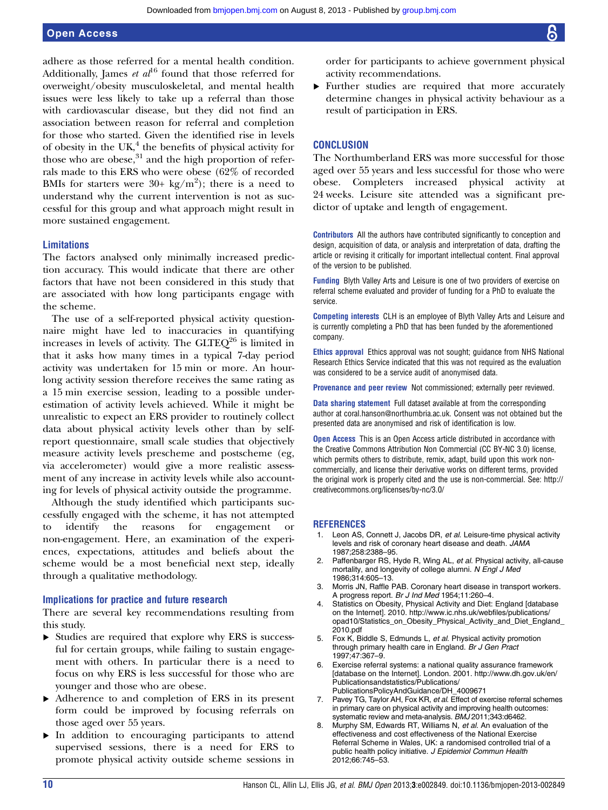adhere as those referred for a mental health condition. Additionally, James *et al*<sup>16</sup> found that those referred for overweight/obesity musculoskeletal, and mental health issues were less likely to take up a referral than those with cardiovascular disease, but they did not find an association between reason for referral and completion for those who started. Given the identified rise in levels of obesity in the UK,<sup>4</sup> the benefits of physical activity for those who are obese, $31$  and the high proportion of referrals made to this ERS who were obese (62% of recorded BMIs for starters were  $30+ kg/m^2$ ); there is a need to understand why the current intervention is not as successful for this group and what approach might result in more sustained engagement.

#### Limitations

The factors analysed only minimally increased prediction accuracy. This would indicate that there are other factors that have not been considered in this study that are associated with how long participants engage with the scheme.

The use of a self-reported physical activity questionnaire might have led to inaccuracies in quantifying increases in levels of activity. The  $GLTEQ^{26}$  is limited in that it asks how many times in a typical 7-day period activity was undertaken for 15 min or more. An hourlong activity session therefore receives the same rating as a 15 min exercise session, leading to a possible underestimation of activity levels achieved. While it might be unrealistic to expect an ERS provider to routinely collect data about physical activity levels other than by selfreport questionnaire, small scale studies that objectively measure activity levels prescheme and postscheme (eg, via accelerometer) would give a more realistic assessment of any increase in activity levels while also accounting for levels of physical activity outside the programme.

Although the study identified which participants successfully engaged with the scheme, it has not attempted to identify the reasons for engagement or non-engagement. Here, an examination of the experiences, expectations, attitudes and beliefs about the scheme would be a most beneficial next step, ideally through a qualitative methodology.

#### Implications for practice and future research

There are several key recommendations resulting from this study.

- ▸ Studies are required that explore why ERS is successful for certain groups, while failing to sustain engagement with others. In particular there is a need to focus on why ERS is less successful for those who are younger and those who are obese.
- ▸ Adherence to and completion of ERS in its present form could be improved by focusing referrals on those aged over 55 years.
- ▸ In addition to encouraging participants to attend supervised sessions, there is a need for ERS to promote physical activity outside scheme sessions in

order for participants to achieve government physical activity recommendations.

▸ Further studies are required that more accurately determine changes in physical activity behaviour as a result of participation in ERS.

#### **CONCLUSION**

The Northumberland ERS was more successful for those aged over 55 years and less successful for those who were obese. Completers increased physical activity at 24 weeks. Leisure site attended was a significant predictor of uptake and length of engagement.

Contributors All the authors have contributed significantly to conception and design, acquisition of data, or analysis and interpretation of data, drafting the article or revising it critically for important intellectual content. Final approval of the version to be published.

Funding Blyth Valley Arts and Leisure is one of two providers of exercise on referral scheme evaluated and provider of funding for a PhD to evaluate the service.

Competing interests CLH is an employee of Blyth Valley Arts and Leisure and is currently completing a PhD that has been funded by the aforementioned company.

Ethics approval Ethics approval was not sought; guidance from NHS National Research Ethics Service indicated that this was not required as the evaluation was considered to be a service audit of anonymised data.

Provenance and peer review Not commissioned; externally peer reviewed.

Data sharing statement Full dataset available at from the corresponding author at coral.hanson@northumbria.ac.uk. Consent was not obtained but the presented data are anonymised and risk of identification is low.

**Open Access** This is an Open Access article distributed in accordance with the Creative Commons Attribution Non Commercial (CC BY-NC 3.0) license, which permits others to distribute, remix, adapt, build upon this work noncommercially, and license their derivative works on different terms, provided the original work is properly cited and the use is non-commercial. See: [http://](http://creativecommons.org/licenses/by-nc/3.0/) [creativecommons.org/licenses/by-nc/3.0/](http://creativecommons.org/licenses/by-nc/3.0/)

#### **REFERENCES**

- 1. Leon AS, Connett J, Jacobs DR, et al. Leisure-time physical activity levels and risk of coronary heart disease and death. JAMA 1987;258:2388–95.
- 2. Paffenbarger RS, Hyde R, Wing AL, et al. Physical activity, all-cause mortality, and longevity of college alumni. N Engl J Med 1986;314:605–13.
- 3. Morris JN, Raffle PAB. Coronary heart disease in transport workers. A progress report. Br J Ind Med 1954;11:260–4.
- Statistics on Obesity, Physical Activity and Diet: England [database on the Internet]. 2010. [http://www.ic.nhs.uk/webfiles/publications/](http://www.ic.nhs.uk/webfiles/publications/opad10/Statistics_on_Obesity_Physical_Activity_and_Diet_England_2010.pdf) [opad10/Statistics\\_on\\_Obesity\\_Physical\\_Activity\\_and\\_Diet\\_England\\_](http://www.ic.nhs.uk/webfiles/publications/opad10/Statistics_on_Obesity_Physical_Activity_and_Diet_England_2010.pdf) [2010.pdf](http://www.ic.nhs.uk/webfiles/publications/opad10/Statistics_on_Obesity_Physical_Activity_and_Diet_England_2010.pdf)
- 5. Fox K, Biddle S, Edmunds L, et al. Physical activity promotion through primary health care in England. Br J Gen Pract 1997;47:367–9.
- 6. Exercise referral systems: a national quality assurance framework [database on the Internet]. London. 2001. [http://www.dh.gov.uk/en/](http://www.dh.gov.uk/en/Publicationsandstatistics/Publications/PublicationsPolicyAndGuidance/DH_4009671) [Publicationsandstatistics/Publications/](http://www.dh.gov.uk/en/Publicationsandstatistics/Publications/PublicationsPolicyAndGuidance/DH_4009671) [PublicationsPolicyAndGuidance/DH\\_4009671](http://www.dh.gov.uk/en/Publicationsandstatistics/Publications/PublicationsPolicyAndGuidance/DH_4009671)
- 7. Pavey TG, Taylor AH, Fox KR, et al. Effect of exercise referral schemes in primary care on physical activity and improving health outcomes: systematic review and meta-analysis. BMJ 2011;343:d6462.
- 8. Murphy SM, Edwards RT, Williams N, et al. An evaluation of the effectiveness and cost effectiveness of the National Exercise Referral Scheme in Wales, UK: a randomised controlled trial of a public health policy initiative. J Epidemiol Commun Health 2012;66:745–53.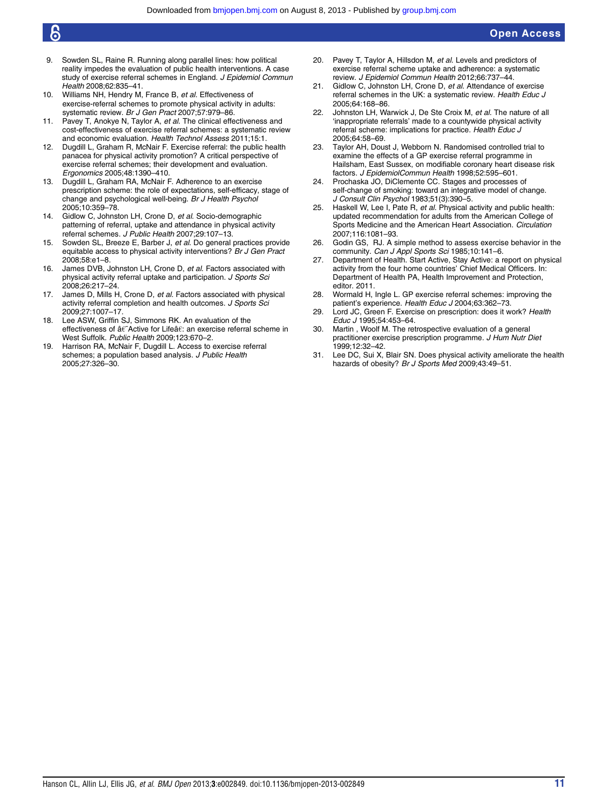- 9. Sowden SL, Raine R. Running along parallel lines: how political reality impedes the evaluation of public health interventions. A case study of exercise referral schemes in England. J Epidemiol Commun Health 2008;62:835–41.
- 10. Williams NH, Hendry M, France B, et al. Effectiveness of exercise-referral schemes to promote physical activity in adults: systematic review. Br J Gen Pract 2007;57:979–86.
- 11. Pavey T, Anokye N, Taylor A, et al. The clinical effectiveness and cost-effectiveness of exercise referral schemes: a systematic review and economic evaluation. Health Technol Assess 2011;15:1.
- 12. Dugdill L, Graham R, McNair F. Exercise referral: the public health panacea for physical activity promotion? A critical perspective of exercise referral schemes; their development and evaluation. Ergonomics 2005;48:1390–410.
- 13. Dugdill L, Graham RA, McNair F. Adherence to an exercise prescription scheme: the role of expectations, self-efficacy, stage of change and psychological well-being. Br J Health Psychol 2005;10:359–78.
- 14. Gidlow C, Johnston LH, Crone D, et al. Socio-demographic patterning of referral, uptake and attendance in physical activity referral schemes. J Public Health 2007;29:107–13.
- 15. Sowden SL, Breeze E, Barber J, et al. Do general practices provide equitable access to physical activity interventions? Br J Gen Pract 2008;58:e1–8.
- 16. James DVB, Johnston LH, Crone D, et al. Factors associated with physical activity referral uptake and participation. J Sports Sci 2008;26:217–24.
- 17. James D, Mills H, Crone D, et al. Factors associated with physical activity referral completion and health outcomes. J Sports Sci 2009;27:1007–17.
- Lee ASW, Griffin SJ, Simmons RK. An evaluation of the effectiveness of â€˜Active for Lifeâ€: an exercise referral scheme in West Suffolk. Public Health 2009;123:670–2.
- 19. Harrison RA, McNair F, Dugdill L. Access to exercise referral schemes; a population based analysis. J Public Health 2005;27:326–30.
- 20. Pavey T. Taylor A. Hillsdon M. et al. Levels and predictors of exercise referral scheme uptake and adherence: a systematic review. J Epidemiol Commun Health 2012;66:737–44.
- 21. Gidlow C, Johnston LH, Crone D, et al. Attendance of exercise referral schemes in the UK: a systematic review. Health Educ J 2005;64:168–86.
- 22. Johnston LH, Warwick J, De Ste Croix M, et al. The nature of all 'inappropriate referrals' made to a countywide physical activity referral scheme: implications for practice. Health Educ J 2005;64:58–69.
- 23. Taylor AH, Doust J, Webborn N. Randomised controlled trial to examine the effects of a GP exercise referral programme in Hailsham, East Sussex, on modifiable coronary heart disease risk factors. J EpidemiolCommun Health 1998;52:595–601.
- 24. Prochaska JO, DiClemente CC. Stages and processes of self-change of smoking: toward an integrative model of change. J Consult Clin Psychol 1983;51(3):390–5.
- Haskell W, Lee I, Pate R, et al. Physical activity and public health: updated recommendation for adults from the American College of Sports Medicine and the American Heart Association. Circulation 2007;116:1081–93.
- 26. Godin GS, RJ. A simple method to assess exercise behavior in the community. Can J Appl Sports Sci 1985;10:141-6.
- 27. Department of Health. Start Active, Stay Active: a report on physical activity from the four home countries' Chief Medical Officers. In: Department of Health PA, Health Improvement and Protection, editor. 2011.
- 28. Wormald H, Ingle L. GP exercise referral schemes: improving the patient's experience. Health Educ J 2004;63:362-73.
- 29. Lord JC, Green F. Exercise on prescription: does it work? Health Educ J 1995;54:453–64.
- 30. Martin , Woolf M. The retrospective evaluation of a general practitioner exercise prescription programme. J Hum Nutr Diet 1999;12:32–42.
- 31. Lee DC, Sui X, Blair SN. Does physical activity ameliorate the health hazards of obesity? Br J Sports Med 2009;43:49-51.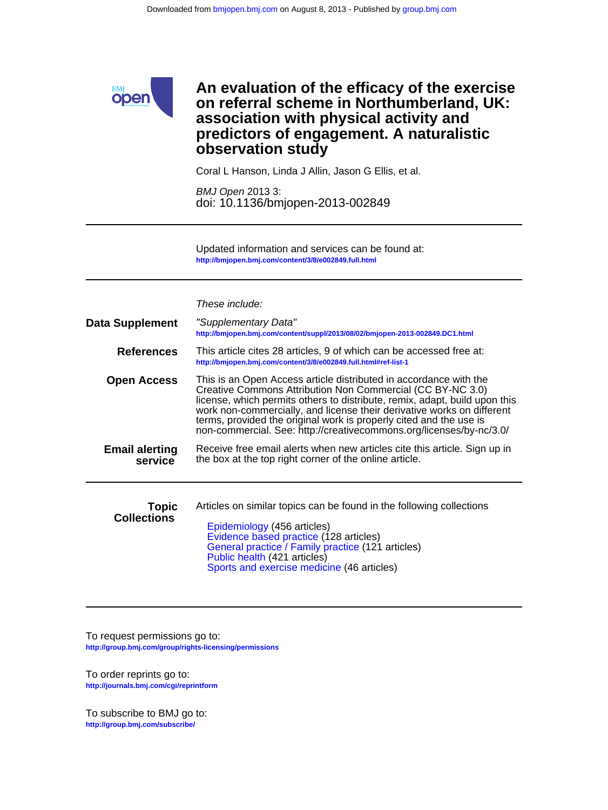

Coral L Hanson, Linda J Allin, Jason G Ellis, et al.

doi: 10.1136/bmjopen-2013-002849 BMJ Open 2013 3:

**<http://bmjopen.bmj.com/content/3/8/e002849.full.html>** Updated information and services can be found at:

|                                    | These include:                                                                                                                                                                                                                                                                                                                                                                                                                       |
|------------------------------------|--------------------------------------------------------------------------------------------------------------------------------------------------------------------------------------------------------------------------------------------------------------------------------------------------------------------------------------------------------------------------------------------------------------------------------------|
| Data Supplement                    | "Supplementary Data"<br>http://bmjopen.bmj.com/content/suppl/2013/08/02/bmjopen-2013-002849.DC1.html                                                                                                                                                                                                                                                                                                                                 |
| <b>References</b>                  | This article cites 28 articles, 9 of which can be accessed free at:<br>http://bmjopen.bmj.com/content/3/8/e002849.full.html#ref-list-1                                                                                                                                                                                                                                                                                               |
| <b>Open Access</b>                 | This is an Open Access article distributed in accordance with the<br>Creative Commons Attribution Non Commercial (CC BY-NC 3.0)<br>license, which permits others to distribute, remix, adapt, build upon this<br>work non-commercially, and license their derivative works on different<br>terms, provided the original work is properly cited and the use is<br>non-commercial. See: http://creativecommons.org/licenses/by-nc/3.0/ |
| <b>Email alerting</b><br>service   | Receive free email alerts when new articles cite this article. Sign up in<br>the box at the top right corner of the online article.                                                                                                                                                                                                                                                                                                  |
| <b>Topic</b><br><b>Collections</b> | Articles on similar topics can be found in the following collections<br>Epidemiology (456 articles)<br>Evidence based practice (128 articles)<br>General practice / Family practice (121 articles)<br>Public health (421 articles)<br>Sports and exercise medicine (46 articles)                                                                                                                                                     |

**<http://group.bmj.com/group/rights-licensing/permissions>** To request permissions go to:

**<http://journals.bmj.com/cgi/reprintform>** To order reprints go to:

oper

**<http://group.bmj.com/subscribe/>** To subscribe to BMJ go to: